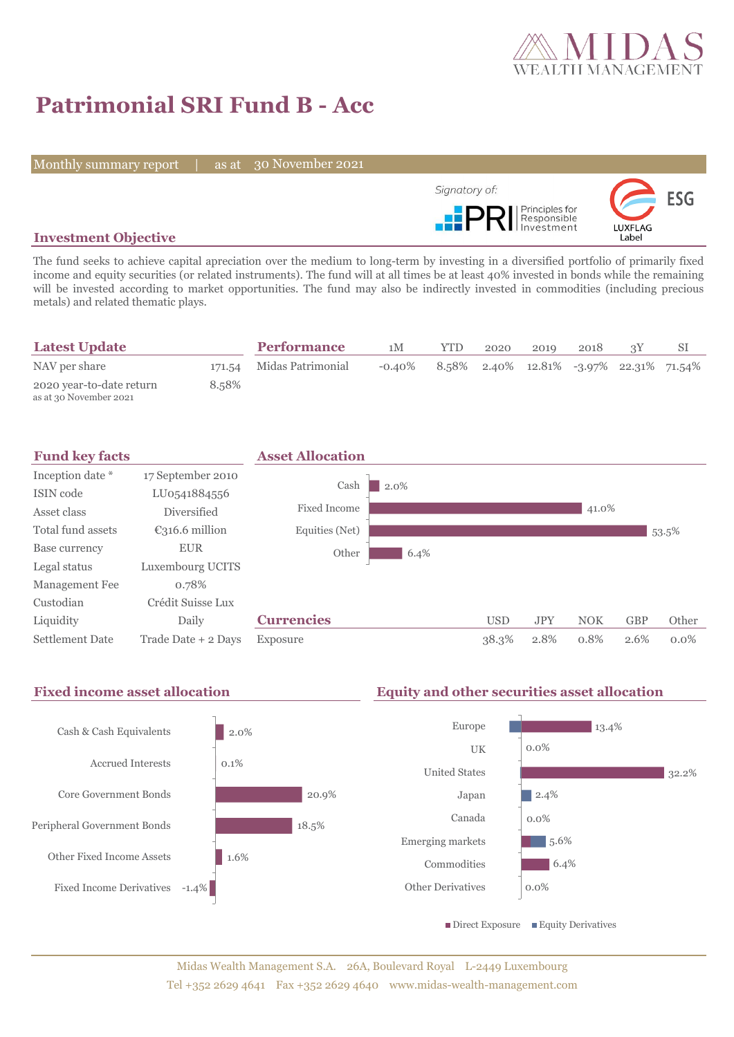

# **Patrimonial SRI Fund B - Acc**

Monthly summary report | as at 30 November 2021



## **Investment Objective**

The fund seeks to achieve capital apreciation over the medium to long-term by investing in a diversified portfolio of primarily fixed income and equity securities (or related instruments). The fund will at all times be at least 40% invested in bonds while the remaining will be invested according to market opportunities. The fund may also be indirectly invested in commodities (including precious metals) and related thematic plays.

| <b>Latest Update</b>                               |       | <b>Performance</b>       | 1M        | <b>YTD</b>                                 | 2020 | 2019 | 2018 |  |
|----------------------------------------------------|-------|--------------------------|-----------|--------------------------------------------|------|------|------|--|
| NAV per share                                      |       | 171.54 Midas Patrimonial | $-0.40\%$ | $8.58\%$ 2.40% 12.81% -3.97% 22.31% 71.54% |      |      |      |  |
| 2020 year-to-date return<br>as at 30 November 2021 | 8.58% |                          |           |                                            |      |      |      |  |



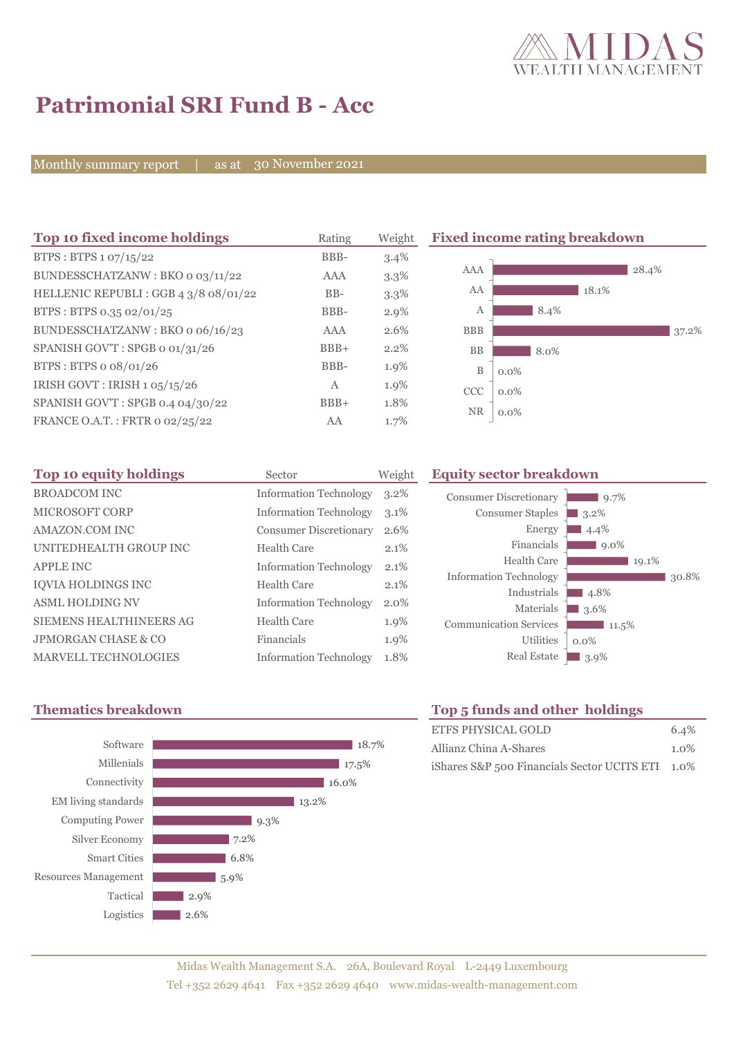

# **Patrimonial SRI Fund B - Acc**

Monthly summary report | as at 30 November 2021

| Top 10 fixed income holdings         | Rating | Weight  | <b>Fixed income rating breakdown</b> |         |       |       |       |
|--------------------------------------|--------|---------|--------------------------------------|---------|-------|-------|-------|
| BTPS : BTPS $1.07/15/22$             | BBB-   | 3.4%    |                                      |         |       |       |       |
| BUNDESSCHATZANW: BKO 0 03/11/22      | AAA    | $3.3\%$ | AAA                                  |         |       | 28.4% |       |
| HELLENIC REPUBLI: GGB 4 3/8 08/01/22 | $BB-$  | $3.3\%$ | AA                                   |         | 18.1% |       |       |
| BTPS: BTPS 0.35 02/01/25             | BBB-   | $2.9\%$ | А                                    | 8.4%    |       |       |       |
| BUNDESSCHATZANW: BKO o 06/16/23      | AAA    | 2.6%    | <b>BBB</b>                           |         |       |       | 37.2% |
| SPANISH GOV'T: SPGB o 01/31/26       | $BBB+$ | 2.2%    | <b>BB</b>                            | 8.0%    |       |       |       |
| BTPS: BTPS o 08/01/26                | BBB-   | 1.9%    | B                                    | $0.0\%$ |       |       |       |
| IRISH GOVT : IRISH 1 05/15/26        | Α      | 1.9%    | <b>CCC</b>                           | $0.0\%$ |       |       |       |
| SPANISH GOV'T: SPGB 0.4 04/30/22     | $BBB+$ | 1.8%    |                                      |         |       |       |       |
| FRANCE O.A.T.: FRTR 0 02/25/22       | AA     | 1.7%    | <b>NR</b>                            | $0.0\%$ |       |       |       |

| Top 10 equity holdings         | Sector                        | Weight  |
|--------------------------------|-------------------------------|---------|
| <b>BROADCOM INC</b>            | <b>Information Technology</b> | $3.2\%$ |
| <b>MICROSOFT CORP</b>          | <b>Information Technology</b> | 3.1%    |
| AMAZON.COM INC                 | <b>Consumer Discretionary</b> | 2.6%    |
| UNITEDHEALTH GROUP INC         | Health Care                   | 2.1%    |
| <b>APPLE INC</b>               | <b>Information Technology</b> | 2.1%    |
| <b>IOVIA HOLDINGS INC</b>      | Health Care                   | 2.1%    |
| <b>ASML HOLDING NV</b>         | <b>Information Technology</b> | 2.0%    |
| SIEMENS HEALTHINEERS AG        | Health Care                   | 1.9%    |
| <b>JPMORGAN CHASE &amp; CO</b> | Financials                    | 1.9%    |
| <b>MARVELL TECHNOLOGIES</b>    | <b>Information Technology</b> | 1.8%    |



### **Equity sector breakdown**



# **Thematics breakdown Top 5 funds and other holdings**

| ETFS PHYSICAL GOLD                               | 6.4%    |
|--------------------------------------------------|---------|
| Allianz China A-Shares                           | $1.0\%$ |
| iShares S&P 500 Financials Sector UCITS ETI 1.0% |         |